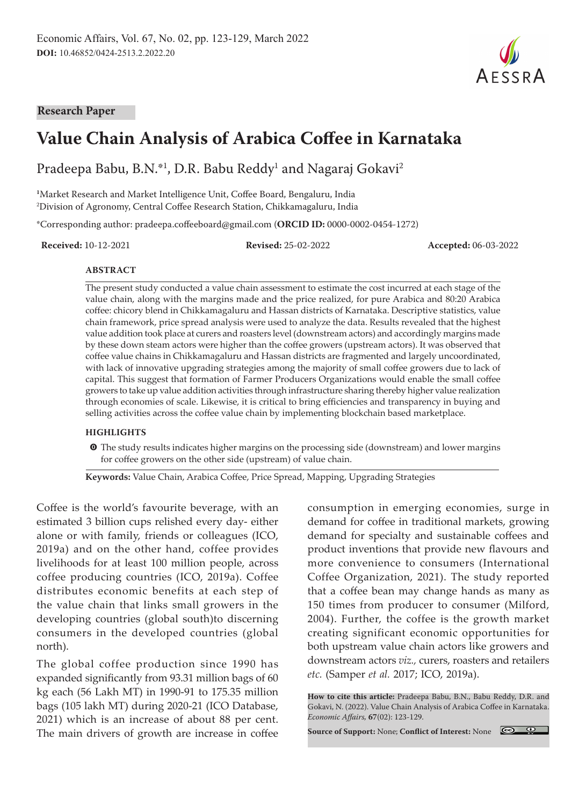#### **Research Paper**

# **Value Chain Analysis of Arabica Coffee in Karnataka**

Pradeepa Babu, B.N.\*1, D.R. Babu Reddy<sup>1</sup> and Nagaraj Gokavi<sup>2</sup>

**1** Market Research and Market Intelligence Unit, Coffee Board, Bengaluru, India 2 Division of Agronomy, Central Coffee Research Station, Chikkamagaluru, India

\*Corresponding author: pradeepa.coffeeboard@gmail.com (**ORCID ID:** 0000-0002-0454-1272)

**Received:** 10-12-2021 **Revised:** 25-02-2022 **Accepted:** 06-03-2022

#### **ABSTRACT**

The present study conducted a value chain assessment to estimate the cost incurred at each stage of the value chain, along with the margins made and the price realized, for pure Arabica and 80:20 Arabica coffee: chicory blend in Chikkamagaluru and Hassan districts of Karnataka. Descriptive statistics, value chain framework, price spread analysis were used to analyze the data. Results revealed that the highest value addition took place at curers and roasters level (downstream actors) and accordingly margins made by these down steam actors were higher than the coffee growers (upstream actors). It was observed that coffee value chains in Chikkamagaluru and Hassan districts are fragmented and largely uncoordinated, with lack of innovative upgrading strategies among the majority of small coffee growers due to lack of capital. This suggest that formation of Farmer Producers Organizations would enable the small coffee growers to take up value addition activities through infrastructure sharing thereby higher value realization through economies of scale. Likewise, it is critical to bring efficiencies and transparency in buying and selling activities across the coffee value chain by implementing blockchain based marketplace.

#### **HIGHLIGHTS**

 $\bullet$  The study results indicates higher margins on the processing side (downstream) and lower margins for coffee growers on the other side (upstream) of value chain.

**Keywords:** Value Chain, Arabica Coffee, Price Spread, Mapping, Upgrading Strategies

Coffee is the world's favourite beverage, with an estimated 3 billion cups relished every day- either alone or with family, friends or colleagues (ICO, 2019a) and on the other hand, coffee provides livelihoods for at least 100 million people, across coffee producing countries (ICO, 2019a). Coffee distributes economic benefits at each step of the value chain that links small growers in the developing countries (global south)to discerning consumers in the developed countries (global north).

The global coffee production since 1990 has expanded significantly from 93.31 million bags of 60 kg each (56 Lakh MT) in 1990-91 to 175.35 million bags (105 lakh MT) during 2020-21 (ICO Database, 2021) which is an increase of about 88 per cent. The main drivers of growth are increase in coffee consumption in emerging economies, surge in demand for coffee in traditional markets, growing demand for specialty and sustainable coffees and product inventions that provide new flavours and more convenience to consumers (International Coffee Organization, 2021). The study reported that a coffee bean may change hands as many as 150 times from producer to consumer (Milford, 2004). Further, the coffee is the growth market creating significant economic opportunities for both upstream value chain actors like growers and downstream actors *viz.,* curers, roasters and retailers *etc.* (Samper *et al.* 2017; ICO, 2019a).

**How to cite this article:** Pradeepa Babu, B.N., Babu Reddy, D.R. and Gokavi, N. (2022). Value Chain Analysis of Arabica Coffee in Karnataka. *Economic Affairs,* **67**(02): 123-129.

**Source of Support:** None; **Conflict of Interest:** None

 $\circledcirc$ 

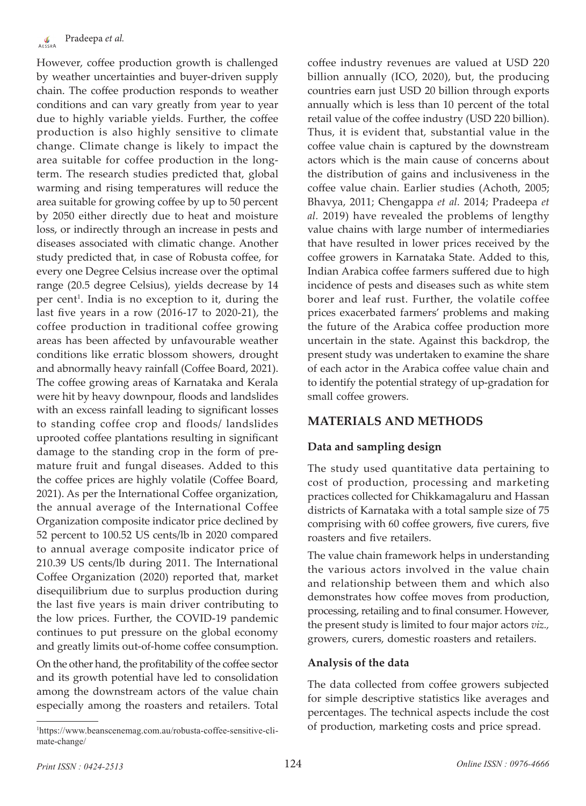However, coffee production growth is challenged by weather uncertainties and buyer-driven supply chain. The coffee production responds to weather conditions and can vary greatly from year to year due to highly variable yields. Further, the coffee production is also highly sensitive to climate change. Climate change is likely to impact the area suitable for coffee production in the longterm. The research studies predicted that, global warming and rising temperatures will reduce the area suitable for growing coffee by up to 50 percent by 2050 either directly due to heat and moisture loss, or indirectly through an increase in pests and diseases associated with climatic change. Another study predicted that, in case of Robusta coffee, for every one Degree Celsius increase over the optimal range (20.5 degree Celsius), yields decrease by 14 per cent<sup>1</sup>. India is no exception to it, during the last five years in a row (2016-17 to 2020-21), the coffee production in traditional coffee growing areas has been affected by unfavourable weather conditions like erratic blossom showers, drought and abnormally heavy rainfall (Coffee Board, 2021). The coffee growing areas of Karnataka and Kerala were hit by heavy downpour, floods and landslides with an excess rainfall leading to significant losses to standing coffee crop and floods/ landslides uprooted coffee plantations resulting in significant damage to the standing crop in the form of premature fruit and fungal diseases. Added to this the coffee prices are highly volatile (Coffee Board, 2021). As per the International Coffee organization, the annual average of the International Coffee Organization composite indicator price declined by 52 percent to 100.52 US cents/lb in 2020 compared to annual average composite indicator price of 210.39 US cents/lb during 2011. The International Coffee Organization (2020) reported that, market disequilibrium due to surplus production during the last five years is main driver contributing to the low prices. Further, the COVID-19 pandemic continues to put pressure on the global economy and greatly limits out-of-home coffee consumption.

On the other hand, the profitability of the coffee sector and its growth potential have led to consolidation among the downstream actors of the value chain especially among the roasters and retailers. Total

coffee industry revenues are valued at USD 220 billion annually (ICO, 2020), but, the producing countries earn just USD 20 billion through exports annually which is less than 10 percent of the total retail value of the coffee industry (USD 220 billion). Thus, it is evident that, substantial value in the coffee value chain is captured by the downstream actors which is the main cause of concerns about the distribution of gains and inclusiveness in the coffee value chain. Earlier studies (Achoth, 2005; Bhavya, 2011; Chengappa *et al.* 2014; Pradeepa *et al.* 2019) have revealed the problems of lengthy value chains with large number of intermediaries that have resulted in lower prices received by the coffee growers in Karnataka State. Added to this, Indian Arabica coffee farmers suffered due to high incidence of pests and diseases such as white stem borer and leaf rust. Further, the volatile coffee prices exacerbated farmers' problems and making the future of the Arabica coffee production more uncertain in the state. Against this backdrop, the present study was undertaken to examine the share of each actor in the Arabica coffee value chain and to identify the potential strategy of up-gradation for small coffee growers.

# **MATERIALS AND METHODS**

## **Data and sampling design**

The study used quantitative data pertaining to cost of production, processing and marketing practices collected for Chikkamagaluru and Hassan districts of Karnataka with a total sample size of 75 comprising with 60 coffee growers, five curers, five roasters and five retailers.

The value chain framework helps in understanding the various actors involved in the value chain and relationship between them and which also demonstrates how coffee moves from production, processing, retailing and to final consumer. However, the present study is limited to four major actors *viz.,*  growers, curers, domestic roasters and retailers.

#### **Analysis of the data**

The data collected from coffee growers subjected for simple descriptive statistics like averages and percentages. The technical aspects include the cost <sup>1</sup>https://www.beanscenemag.com.au/robusta-coffee-sensitive-cli- of production, marketing costs and price spread.

mate-change/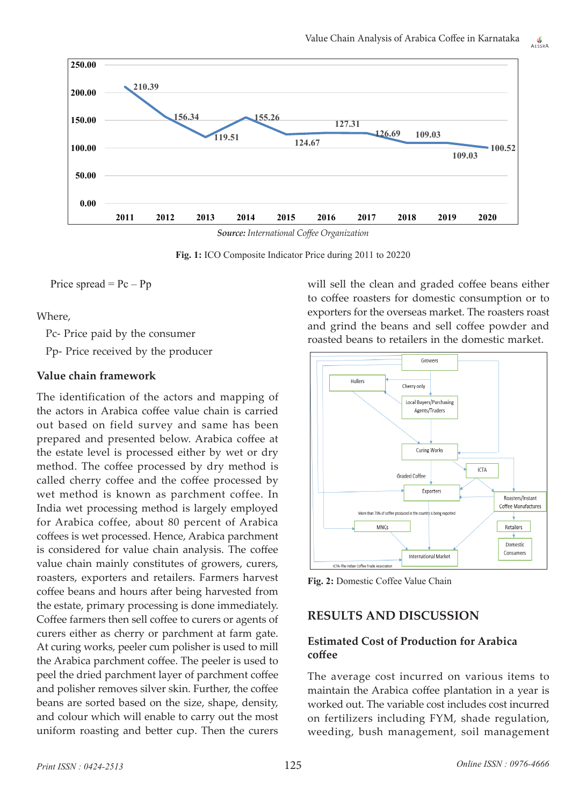AESSRA





**Fig. 1:** ICO Composite Indicator Price during 2011 to 20220

Price spread  $=$  Pc  $-$  Pp

Where,

Pc- Price paid by the consumer

Pp- Price received by the producer

#### **Value chain framework**

The identification of the actors and mapping of the actors in Arabica coffee value chain is carried out based on field survey and same has been prepared and presented below. Arabica coffee at the estate level is processed either by wet or dry method. The coffee processed by dry method is called cherry coffee and the coffee processed by wet method is known as parchment coffee. In India wet processing method is largely employed for Arabica coffee, about 80 percent of Arabica coffees is wet processed. Hence, Arabica parchment is considered for value chain analysis. The coffee value chain mainly constitutes of growers, curers, roasters, exporters and retailers. Farmers harvest coffee beans and hours after being harvested from the estate, primary processing is done immediately. Coffee farmers then sell coffee to curers or agents of curers either as cherry or parchment at farm gate. At curing works, peeler cum polisher is used to mill the Arabica parchment coffee. The peeler is used to peel the dried parchment layer of parchment coffee and polisher removes silver skin. Further, the coffee beans are sorted based on the size, shape, density, and colour which will enable to carry out the most uniform roasting and better cup. Then the curers will sell the clean and graded coffee beans either to coffee roasters for domestic consumption or to exporters for the overseas market. The roasters roast and grind the beans and sell coffee powder and roasted beans to retailers in the domestic market.



**Fig. 2:** Domestic Coffee Value Chain

## **RESULTS AND DISCUSSION**

#### **Estimated Cost of Production for Arabica coffee**

The average cost incurred on various items to maintain the Arabica coffee plantation in a year is worked out. The variable cost includes cost incurred on fertilizers including FYM, shade regulation, weeding, bush management, soil management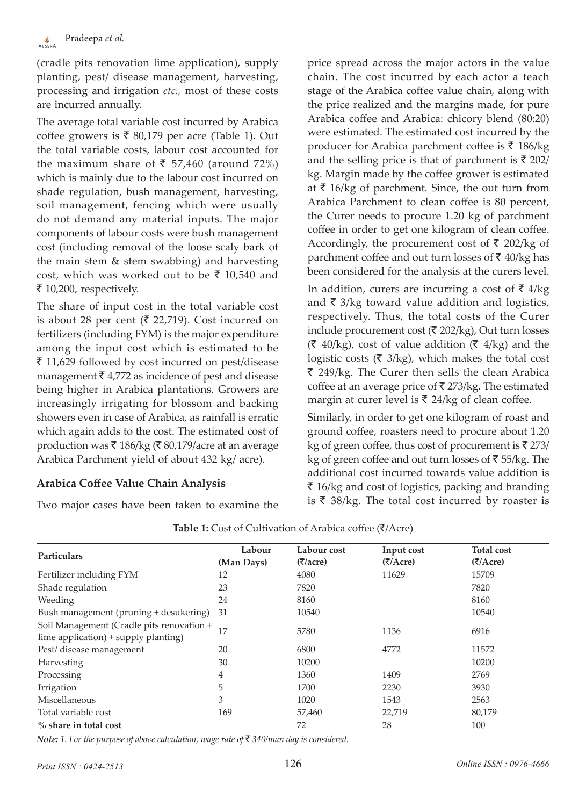(cradle pits renovation lime application), supply planting, pest/ disease management, harvesting, processing and irrigation *etc.,* most of these costs are incurred annually.

The average total variable cost incurred by Arabica coffee growers is  $\bar{\bar{\xi}}$  80,179 per acre (Table 1). Out the total variable costs, labour cost accounted for the maximum share of  $\bar{\bar{\xi}}$  57,460 (around 72%) which is mainly due to the labour cost incurred on shade regulation, bush management, harvesting, soil management, fencing which were usually do not demand any material inputs. The major components of labour costs were bush management cost (including removal of the loose scaly bark of the main stem & stem swabbing) and harvesting cost, which was worked out to be  $\bar{\tau}$  10,540 and  $\bar{\xi}$  10,200, respectively.

The share of input cost in the total variable cost is about 28 per cent ( $\bar{\xi}$  22,719). Cost incurred on fertilizers (including FYM) is the major expenditure among the input cost which is estimated to be  $\bar{\xi}$  11,629 followed by cost incurred on pest/disease management  $\bar{\tau}$  4,772 as incidence of pest and disease being higher in Arabica plantations. Growers are increasingly irrigating for blossom and backing showers even in case of Arabica, as rainfall is erratic which again adds to the cost. The estimated cost of production was  $\bar{\mathfrak{g}}$  186/kg ( $\bar{\mathfrak{g}}$  80,179/acre at an average Arabica Parchment yield of about 432 kg/ acre).

## **Arabica Coffee Value Chain Analysis**

Two major cases have been taken to examine the

price spread across the major actors in the value chain. The cost incurred by each actor a teach stage of the Arabica coffee value chain, along with the price realized and the margins made, for pure Arabica coffee and Arabica: chicory blend (80:20) were estimated. The estimated cost incurred by the producer for Arabica parchment coffee is  $\bar{\tau}$  186/kg and the selling price is that of parchment is  $\bar{\mathfrak{g}}$  202/ kg. Margin made by the coffee grower is estimated at  $\bar{\tau}$  16/kg of parchment. Since, the out turn from Arabica Parchment to clean coffee is 80 percent, the Curer needs to procure 1.20 kg of parchment coffee in order to get one kilogram of clean coffee. Accordingly, the procurement cost of  $\bar{\tau}$  202/kg of parchment coffee and out turn losses of  $\bar{z}$  40/kg has been considered for the analysis at the curers level.

In addition, curers are incurring a cost of  $\bar{\bar{\xi}}$  4/kg and  $\bar{\tau}$  3/kg toward value addition and logistics, respectively. Thus, the total costs of the Curer include procurement cost ( $\bar{\bar{\mathcal{E}}}$  202/kg), Out turn losses  $(\bar{\mathfrak{F}} 40/kg)$ , cost of value addition  $(\bar{\mathfrak{F}} 4/kg)$  and the logistic costs ( $\bar{\tau}$  3/kg), which makes the total cost  $\bar{\xi}$  249/kg. The Curer then sells the clean Arabica coffee at an average price of  $\bar{\tau}$  273/kg. The estimated margin at curer level is  $\bar{\tau}$  24/kg of clean coffee.

Similarly, in order to get one kilogram of roast and ground coffee, roasters need to procure about 1.20 kg of green coffee, thus cost of procurement is  $\bar{\mathfrak{g}}$  273/ kg of green coffee and out turn losses of  $\bar{z}$  55/kg. The additional cost incurred towards value addition is  $\bar{\bar{\xi}}$  16/kg and cost of logistics, packing and branding is  $\bar{\xi}$  38/kg. The total cost incurred by roaster is

|                                           | Labour                              | Labour cost | Input cost                        | <b>Total cost</b> |
|-------------------------------------------|-------------------------------------|-------------|-----------------------------------|-------------------|
| <b>Particulars</b>                        | (7/Acre)<br>(Man Days)<br>(7/accre) |             | $(\overline{\zeta}/\text{Accre})$ |                   |
| Fertilizer including FYM                  | 12                                  | 4080        | 11629                             | 15709             |
| Shade regulation                          | 23                                  | 7820        |                                   | 7820              |
| Weeding                                   | 24                                  | 8160        |                                   | 8160              |
| Bush management (pruning + desukering)    | 31                                  | 10540       |                                   | 10540             |
| Soil Management (Cradle pits renovation + |                                     | 5780        |                                   |                   |
| lime application) + supply planting)      |                                     |             | 1136                              | 6916              |
| Pest/disease management                   | 20                                  | 6800        | 4772                              | 11572             |
| Harvesting                                | 30                                  | 10200       |                                   | 10200             |
| Processing                                | 4                                   | 1360        | 1409                              | 2769              |
| Irrigation                                | 5                                   | 1700        | 2230                              | 3930              |
| Miscellaneous                             | 3                                   | 1020        | 1543                              | 2563              |
| Total variable cost                       | 169                                 | 57,460      | 22,719                            | 80,179            |
| $%$ share in total cost                   |                                     | 72          | 28                                | 100               |

**Table 1:** Cost of Cultivation of Arabica coffee  $(\overline{\zeta})$ Acre)

*Note: 1. For the purpose of above calculation, wage rate of* ` *340/man day is considered.*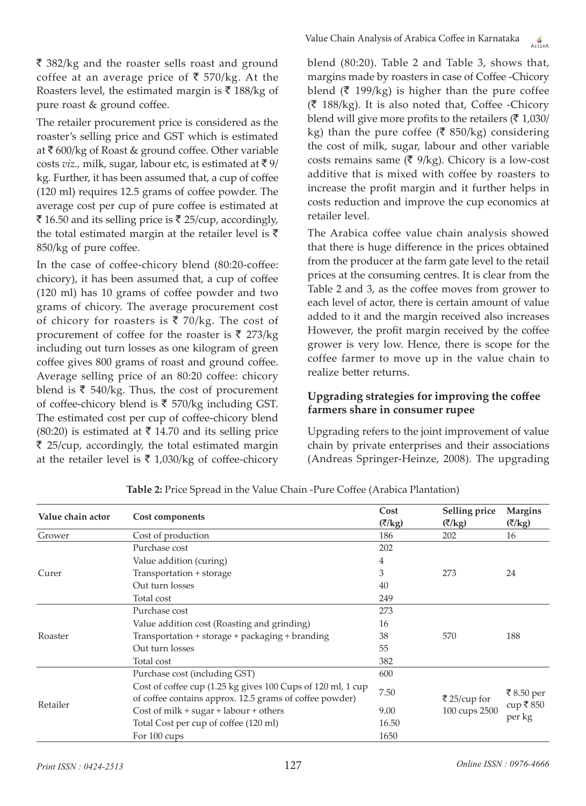$\bar{\tau}$  382/kg and the roaster sells roast and ground coffee at an average price of  $\bar{\bar{\xi}}$  570/kg. At the Roasters level, the estimated margin is  $\bar{\tau}$  188/kg of pure roast & ground coffee.

The retailer procurement price is considered as the roaster's selling price and GST which is estimated at  $\bar{\tau}$  600/kg of Roast & ground coffee. Other variable costs *viz.*, milk, sugar, labour etc, is estimated at  $\bar{\tau}$  9/ kg. Further, it has been assumed that, a cup of coffee (120 ml) requires 12.5 grams of coffee powder. The average cost per cup of pure coffee is estimated at ₹ 16.50 and its selling price is ₹ 25/cup, accordingly, the total estimated margin at the retailer level is  $\bar{\tau}$ 850/kg of pure coffee.

In the case of coffee-chicory blend (80:20-coffee: chicory), it has been assumed that, a cup of coffee (120 ml) has 10 grams of coffee powder and two grams of chicory. The average procurement cost of chicory for roasters is  $\bar{\tau}$  70/kg. The cost of procurement of coffee for the roaster is  $\bar{\tau}$  273/kg including out turn losses as one kilogram of green coffee gives 800 grams of roast and ground coffee. Average selling price of an 80:20 coffee: chicory blend is  $\bar{\tau}$  540/kg. Thus, the cost of procurement of coffee-chicory blend is  $\bar{\tau}$  570/kg including GST. The estimated cost per cup of coffee-chicory blend (80:20) is estimated at  $\bar{\tau}$  14.70 and its selling price  $\bar{\tau}$  25/cup, accordingly, the total estimated margin at the retailer level is  $\bar{\tau}$  1,030/kg of coffee-chicory

Value Chain Analysis of Arabica Coffee in Karnataka AFSSPA

blend (80:20). Table 2 and Table 3, shows that, margins made by roasters in case of Coffee -Chicory blend ( $\bar{\tau}$  199/kg) is higher than the pure coffee  $(\bar{\bar{\zeta}} 188/kg)$ . It is also noted that, Coffee -Chicory blend will give more profits to the retailers  $(\bar{\mathbf{\mathsf{z}}}\; 1.030)$ kg) than the pure coffee ( $\bar{\xi}$  850/kg) considering the cost of milk, sugar, labour and other variable costs remains same  $(\bar{\mathbf{\zeta}} 9/kg)$ . Chicory is a low-cost additive that is mixed with coffee by roasters to increase the profit margin and it further helps in costs reduction and improve the cup economics at retailer level.

The Arabica coffee value chain analysis showed that there is huge difference in the prices obtained from the producer at the farm gate level to the retail prices at the consuming centres. It is clear from the Table 2 and 3, as the coffee moves from grower to each level of actor, there is certain amount of value added to it and the margin received also increases However, the profit margin received by the coffee grower is very low. Hence, there is scope for the coffee farmer to move up in the value chain to realize better returns.

#### **Upgrading strategies for improving the coffee farmers share in consumer rupee**

Upgrading refers to the joint improvement of value chain by private enterprises and their associations (Andreas Springer-Heinze, 2008). The upgrading

| Value chain actor | Cost components                                             | Cost<br>(₹/kg)                 | Selling price<br>$(\overline{\zeta}/kg)$ | <b>Margins</b><br>(₹/kg) |
|-------------------|-------------------------------------------------------------|--------------------------------|------------------------------------------|--------------------------|
| Grower            | Cost of production                                          | 186                            | 202                                      | 16                       |
| Curer             | Purchase cost                                               | 202                            |                                          |                          |
|                   | Value addition (curing)                                     | 4                              |                                          |                          |
|                   | Transportation + storage                                    | 3                              | 273                                      | 24                       |
|                   | Out turn losses                                             | 40                             |                                          |                          |
|                   | Total cost                                                  | 249                            |                                          |                          |
| Roaster           | Purchase cost                                               | 273                            |                                          |                          |
|                   | Value addition cost (Roasting and grinding)                 | 16                             |                                          |                          |
|                   | Transportation + storage + packaging + branding             | 38                             | 570                                      | 188                      |
|                   | Out turn losses                                             | 55                             |                                          |                          |
|                   | Total cost                                                  | 382                            |                                          |                          |
| Retailer          | Purchase cost (including GST)                               | 600                            |                                          | ₹8.50 per                |
|                   | Cost of coffee cup (1.25 kg gives 100 Cups of 120 ml, 1 cup | 7.50                           |                                          |                          |
|                   | of coffee contains approx. 12.5 grams of coffee powder)     |                                | ₹25/cup for                              |                          |
|                   | Cost of milk $+$ sugar $+$ labour $+$ others                | 100 cups 2500<br>9.00<br>16.50 |                                          | cup ₹850<br>per kg       |
|                   | Total Cost per cup of coffee (120 ml)                       |                                |                                          |                          |
|                   | For 100 cups                                                | 1650                           |                                          |                          |

**Table 2:** Price Spread in the Value Chain -Pure Coffee (Arabica Plantation)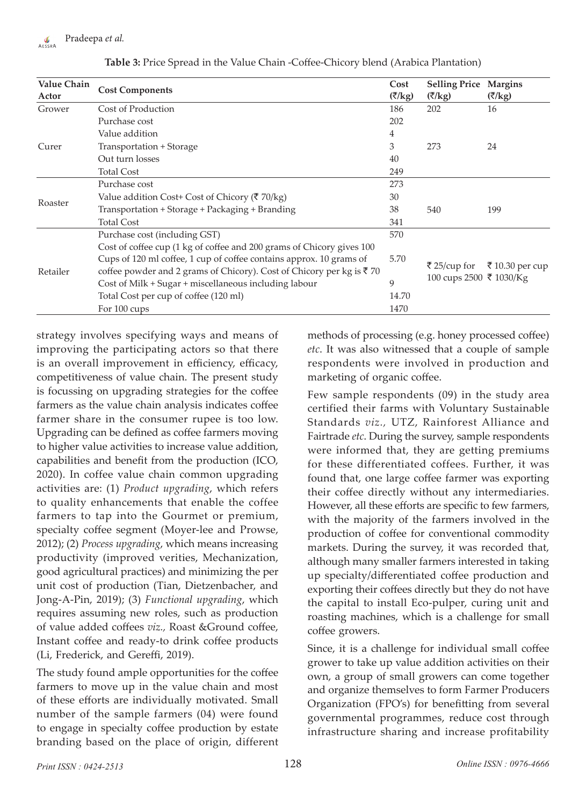

| <b>Value Chain</b><br>Actor | <b>Cost Components</b>                                                                                                                                                                                                                                                                                                                 | Cost<br>(₹/kg)             | <b>Selling Price</b><br>(₹/kg)          | <b>Margins</b><br>$(\overline{\zeta}/\mathrm{kg})$ |
|-----------------------------|----------------------------------------------------------------------------------------------------------------------------------------------------------------------------------------------------------------------------------------------------------------------------------------------------------------------------------------|----------------------------|-----------------------------------------|----------------------------------------------------|
| Grower                      | Cost of Production                                                                                                                                                                                                                                                                                                                     | 186                        | 202                                     | 16                                                 |
| Curer                       | Purchase cost<br>Value addition                                                                                                                                                                                                                                                                                                        |                            |                                         |                                                    |
|                             |                                                                                                                                                                                                                                                                                                                                        |                            |                                         |                                                    |
|                             | Transportation + Storage                                                                                                                                                                                                                                                                                                               | 3                          | 273                                     | 24                                                 |
|                             | Out turn losses                                                                                                                                                                                                                                                                                                                        | 40                         |                                         |                                                    |
|                             | <b>Total Cost</b>                                                                                                                                                                                                                                                                                                                      | 249                        |                                         |                                                    |
| Roaster                     | Purchase cost                                                                                                                                                                                                                                                                                                                          | 273                        |                                         |                                                    |
|                             | Value addition Cost+ Cost of Chicory ( $\bar{\tau}$ 70/kg)                                                                                                                                                                                                                                                                             | 30                         |                                         | 199                                                |
|                             | Transportation + Storage + Packaging + Branding                                                                                                                                                                                                                                                                                        | 38                         | 540                                     |                                                    |
|                             | <b>Total Cost</b>                                                                                                                                                                                                                                                                                                                      | 341                        |                                         |                                                    |
|                             | Purchase cost (including GST)                                                                                                                                                                                                                                                                                                          | 570                        |                                         |                                                    |
| Retailer                    | Cost of coffee cup (1 kg of coffee and 200 grams of Chicory gives 100<br>Cups of 120 ml coffee, 1 cup of coffee contains approx. 10 grams of<br>coffee powder and 2 grams of Chicory). Cost of Chicory per kg is ₹70<br>Cost of Milk + Sugar + miscellaneous including labour<br>Total Cost per cup of coffee (120 ml)<br>For 100 cups | 5.70<br>9<br>14.70<br>1470 | ₹ 25/cup for<br>100 cups 2500 ₹ 1030/Kg | ₹ 10.30 per cup                                    |

**Table 3:** Price Spread in the Value Chain -Coffee-Chicory blend (Arabica Plantation)

strategy involves specifying ways and means of improving the participating actors so that there is an overall improvement in efficiency, efficacy, competitiveness of value chain. The present study is focussing on upgrading strategies for the coffee farmers as the value chain analysis indicates coffee farmer share in the consumer rupee is too low. Upgrading can be defined as coffee farmers moving to higher value activities to increase value addition, capabilities and benefit from the production (ICO, 2020). In coffee value chain common upgrading activities are: (1) *Product upgrading*, which refers to quality enhancements that enable the coffee farmers to tap into the Gourmet or premium, specialty coffee segment (Moyer-lee and Prowse, 2012); (2) *Process upgrading*, which means increasing productivity (improved verities, Mechanization, good agricultural practices) and minimizing the per unit cost of production (Tian, Dietzenbacher, and Jong-A-Pin, 2019); (3) *Functional upgrading*, which requires assuming new roles, such as production of value added coffees *viz.,* Roast &Ground coffee, Instant coffee and ready-to drink coffee products (Li, Frederick, and Gereffi, 2019).

The study found ample opportunities for the coffee farmers to move up in the value chain and most of these efforts are individually motivated. Small number of the sample farmers (04) were found to engage in specialty coffee production by estate branding based on the place of origin, different methods of processing (e.g. honey processed coffee) *etc*. It was also witnessed that a couple of sample respondents were involved in production and marketing of organic coffee.

Few sample respondents (09) in the study area certified their farms with Voluntary Sustainable Standards *viz.,* UTZ, Rainforest Alliance and Fairtrade *etc*. During the survey, sample respondents were informed that, they are getting premiums for these differentiated coffees. Further, it was found that, one large coffee farmer was exporting their coffee directly without any intermediaries. However, all these efforts are specific to few farmers, with the majority of the farmers involved in the production of coffee for conventional commodity markets. During the survey, it was recorded that, although many smaller farmers interested in taking up specialty/differentiated coffee production and exporting their coffees directly but they do not have the capital to install Eco-pulper, curing unit and roasting machines, which is a challenge for small coffee growers.

Since, it is a challenge for individual small coffee grower to take up value addition activities on their own, a group of small growers can come together and organize themselves to form Farmer Producers Organization (FPO's) for benefitting from several governmental programmes, reduce cost through infrastructure sharing and increase profitability